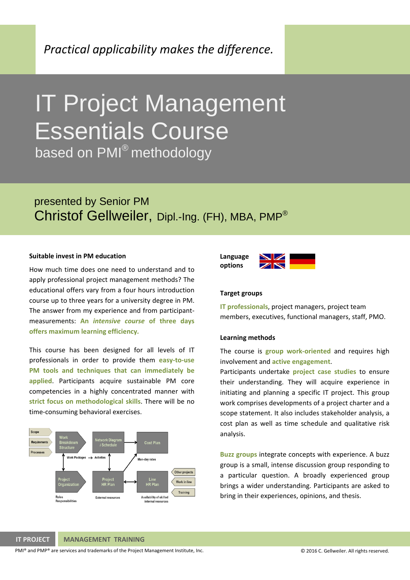*Practical applicability makes the difference.*

# IT Project Management Essentials Course

based on PMI<sup>®</sup> methodology

## presented by Senior PM Christof Gellweiler, Dipl.-Ing. (FH), MBA, PMP®

#### **Suitable invest in PM education**

How much time does one need to understand and to apply professional project management methods? The educational offers vary from a four hours introduction course up to three years for a university degree in PM. The answer from my experience and from participant‐ measurements: **An** *intensive course* **of three days offers maximum learning efficiency***.*

This course has been designed for all levels of IT professionals in order to provide them **easy‐to‐use PM tools and techniques that can immediately be applied**. Participants acquire sustainable PM core competencies in a highly concentrated manner with **strict focus on methodological skills**. There will be no time‐consuming behavioral exercises.





#### **Target groups**

**IT professionals**, project managers, project team members, executives, functional managers, staff, PMO.

#### **Learning methods**

The course is **group work‐oriented** and requires high involvement and **active engagement**.

Participants undertake **project case studies** to ensure their understanding. They will acquire experience in initiating and planning a specific IT project. This group work comprises developments of a project charter and a scope statement. It also includes stakeholder analysis, a cost plan as well as time schedule and qualitative risk analysis.

**Buzz groups** integrate concepts with experience. A buzz group is a small, intense discussion group responding to a particular question. A broadly experienced group brings a wider understanding. Participants are asked to bring in their experiences, opinions, and thesis.

#### **IT PROJECT MANAGEMENT TRAINING**